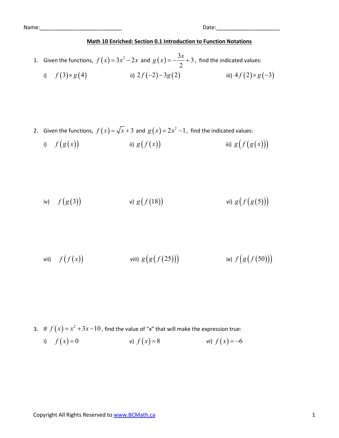Name: where the contract of the contract of the contract of the contract of the contract of the contract of the contract of the contract of the contract of the contract of the contract of the contract of the contract of th

## Math 10 Enriched: Section 0.1 Introduction to Function Notations

- 1. Given the functions,  $f(x)=3x^2-2x$  and  $g(x)=-\frac{3x}{2}+3$ Date:<br> **h 10 Enriched: Section 0.1 Introduction to Function Notations**<br>  $f(x) = 3x^2 - 2x$  and  $g(x) = -\frac{3x}{2} + 3$ , find the indicated values:<br>
ii)  $2f(-2) - 3g(2)$ <br>
iii)  $4f(2) \times g(-3)$ 2  $g(x) = -\frac{3x}{2} + 3$ , find the indicated values: i)  $f(3)\times g(4)$  ii)  $2f(-2)-3g(2)$  iii)  $4f(2)\times g(-3)$ Date:<br> **Math 10 Enriched: Section 0.1 Introduction to Function Notations**<br>
Given the functions,  $f(x) = 3x^2 - 2x$  and  $g(x) = -\frac{3x}{2} + 3$ , find the indicated values:<br>
ii)  $f(3) \times g(4)$  iii)  $2f(-2) - 3g(2)$  iii)  $4f(2) \times g(-3)$ <br> Given the functions,  $f(x) = 3x^2 - 2x$  and  $g(x) = -\frac{3x}{2} + 3$ , find the indicated values:<br>
i)  $f(3) \times g(4)$  ii)  $2f(-2) - 3g(2)$  iii)  $4f(2) \times g(-3)$ <br>
Given the functions,  $f(x) = \sqrt{x} + 3$  and  $g(x) = 2x^2 - 1$ , find the indicated val
- 2. Given the functions,  $f(x) = \sqrt{x} + 3$  and  $g(x) = 2x^2 1$ , find the indicated values:
	-

iv) 
$$
f(g(3))
$$
 v)  $g(f(18))$  vi)  $g(f(g(5)))$ 

Given the functions, 
$$
f(x) = \sqrt{x} + 3
$$
 and  $g(x) = 2x^2 - 1$ , find the indicated values:  
\ni)  $f(g(x))$  \nii)  $g(f(x))$  \niii)  $g(f(g(x)))$   
\niv)  $f(g(3))$  \nvi)  $g(f(18))$  \nvi)  $g(f(g(5)))$   
\nvii)  $f(f(x))$  \nviii)  $g(g(f(25)))$  \nix)  $f(g(f(50)))$ 

- 3. If  $f(x) = x^2 + 3x 10$ , find the value of "x" that will make the expression true:
	- i)  $f(x)=0$  v)  $f(x)=8$  vi)  $f(x)=-6$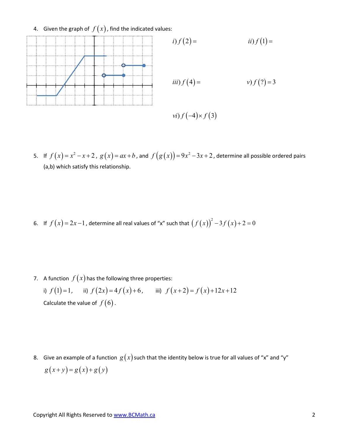4. Given the graph of  $f(x)$ , find the indicated values:



5. If  $f(x)=x^2-x+2$ ,  $g(x)=ax+b$ , and  $f(g(x))=9x^2-3x+2$ , determine all possible ordered pairs (a,b) which satisfy this relationship.

6. If  $f(x) = 2x-1$ , determine all real values of "x" such that  $(f(x))^{2} - 3f(x) + 2 = 0$ 

7. A function  $f(x)$  has the following three properties:

i)  $f(1)=1$ , ii)  $f(2x)=4f(x)+6$ , iii)  $f(x+2)=f(x)+12x+12$ Calculate the value of  $f(6)$ .

8. Give an example of a function  $g(x)$  such that the identity below is true for all values of "x" and "y"  $g(x+y) = g(x) + g(y)$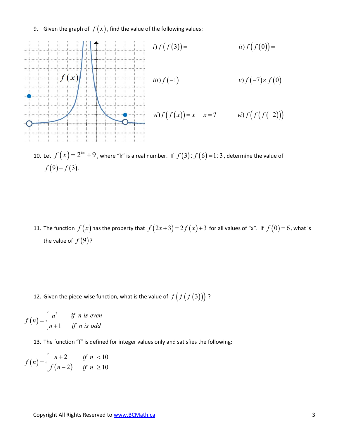9. Given the graph of  $f(x)$ , find the value of the following values:



- 10. Let  $f(x) = 2^{kx} + 9$ , where "k" is a real number. If  $f(3)$ :  $f(6) = 1:3$ , determine the value of  $f(9) - f(3)$ .
- 11. The function  $f(x)$  has the property that  $f(2x+3) = 2f(x)+3$  for all values of "x". If  $f(0) = 6$ , what is the value of  $f(9)$ ? 10. Let  $f(x) = 2^{kx} + 9$ , where "k" is a real number. If  $f(3): f(6) = 1:3$ , determine the value of  $f(9) - f(3)$ .<br>
11. The function  $f(x)$  has the property that  $f(2x+3) = 2f(x)+3$  for all values of "x". If  $f(0) = 6$ , what is the 11. The function  $f(x)$  has the property that  $f(2x+3) = 2f(x)+3$  for<br>the value of  $f(9)$ ?<br>12. Given the piece-wise function, what is the value of  $f(f(f(3)))$ ?<br> $(n) = \begin{cases} n^2 & \text{if } n \text{ is even} \\ n+1 & \text{if } n \text{ is odd} \end{cases}$ <br>13. The function "f 11. The function  $f(x)$  has the property that  $f(2x+3) = 2f(x)+3$  for all values of ";<br>
the value of  $f(9)$ ?<br>
12. Given the piece-wise function, what is the value of  $f(f(f(3)))$ ?<br>  $(n) = \begin{cases} n^2 & \text{if } n \text{ is even} \\ n+1 & \text{if } n \text{ is odd} \end{cases}$

$$
f(n) = \begin{cases} n^2 & \text{if } n \text{ is even} \\ n+1 & \text{if } n \text{ is odd} \end{cases}
$$

13. The function "f" is defined for integer values only and satisfies the following:

$$
f(n) = \begin{cases} n+2 & \text{if } n < 10 \\ f(n-2) & \text{if } n \ge 10 \end{cases}
$$